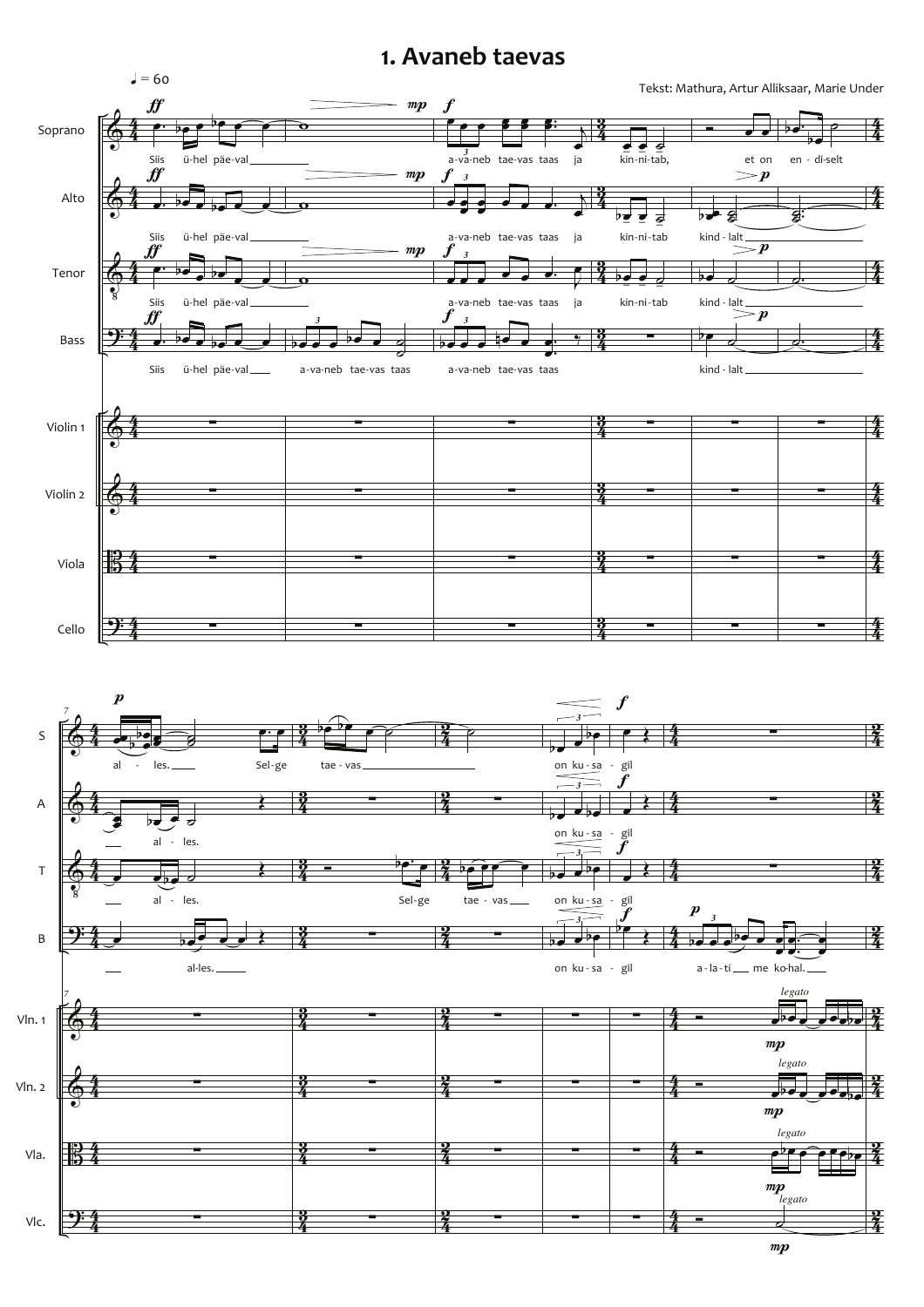## 1. Avaneb taevas



 $\mathbf{m}$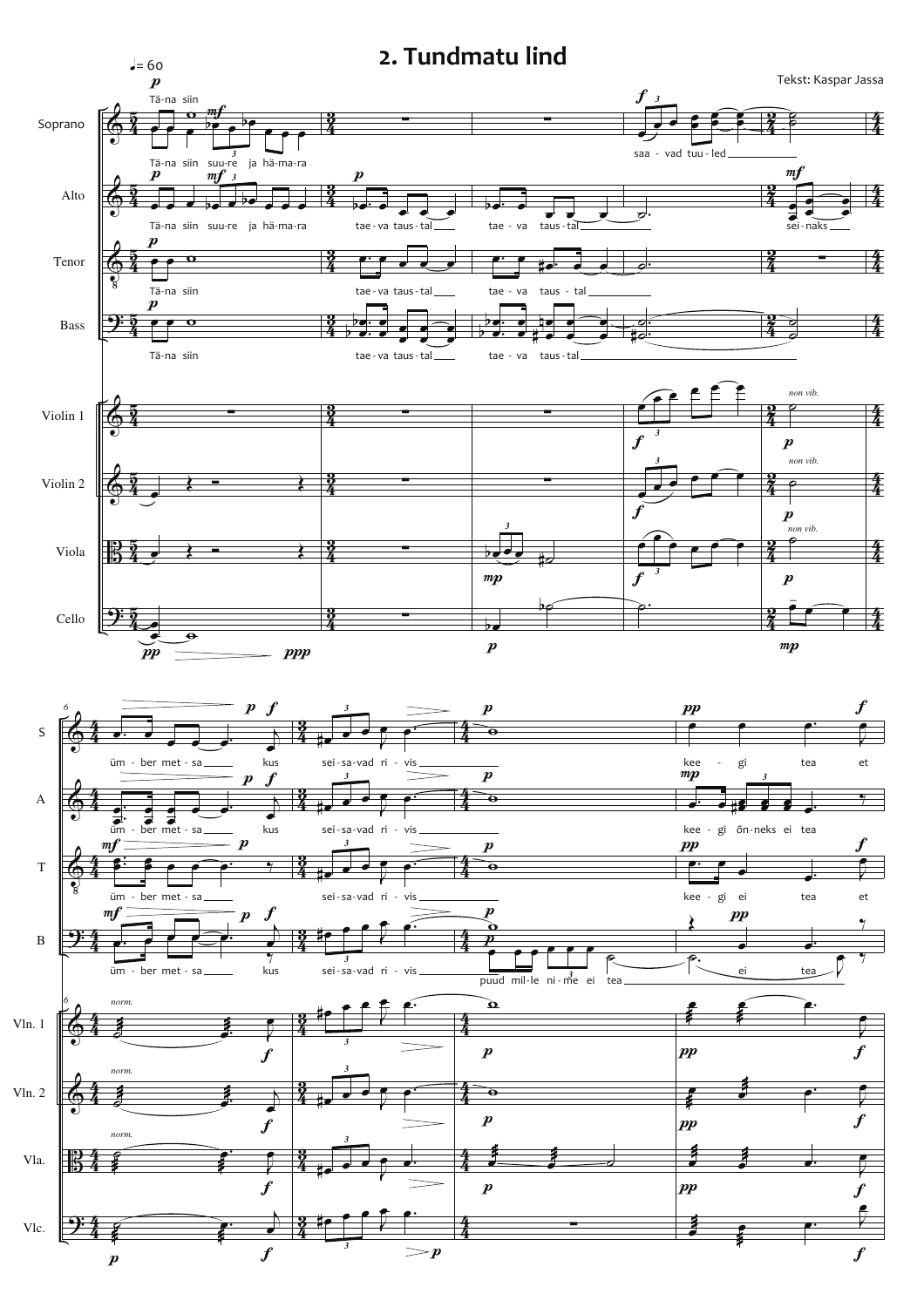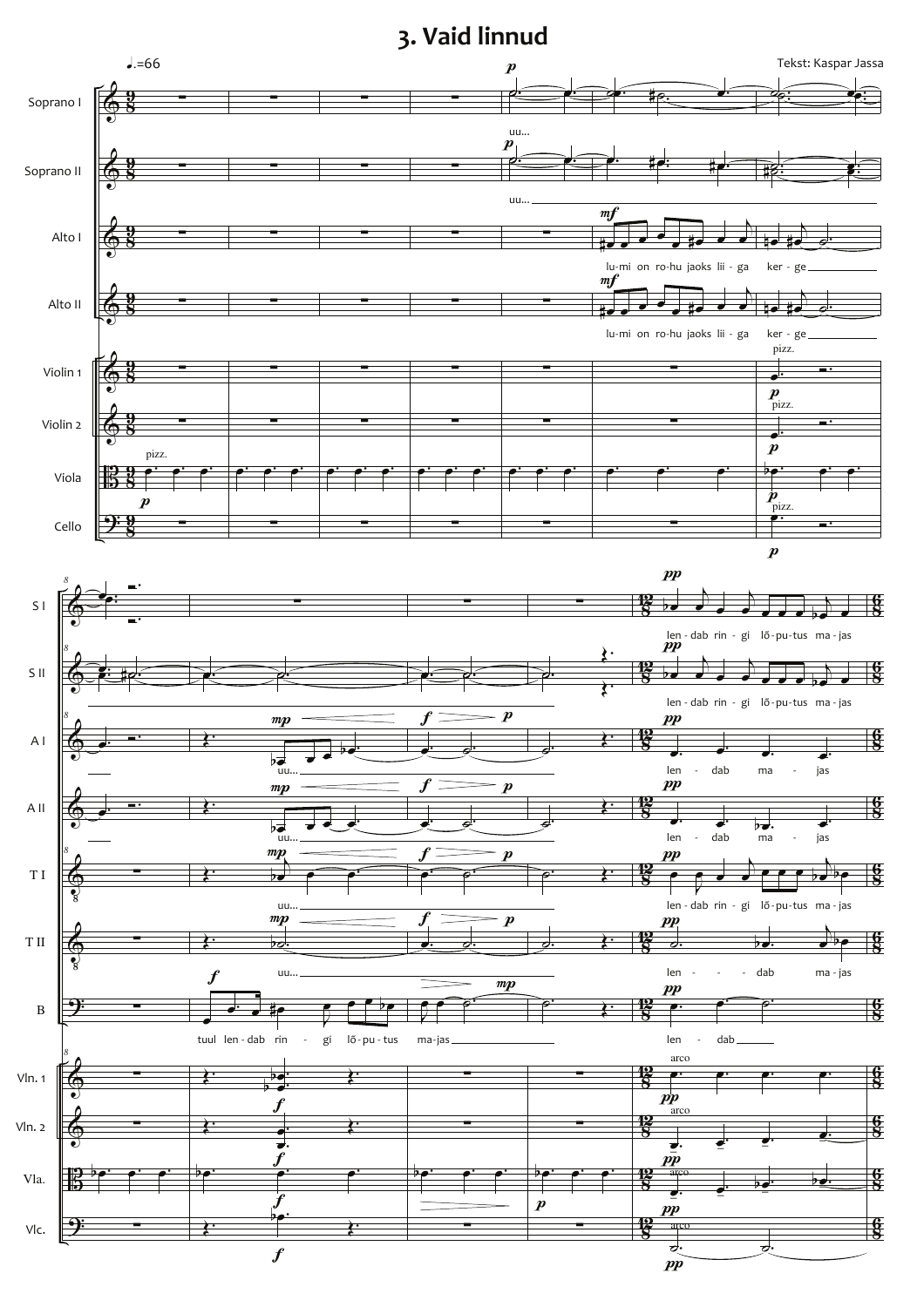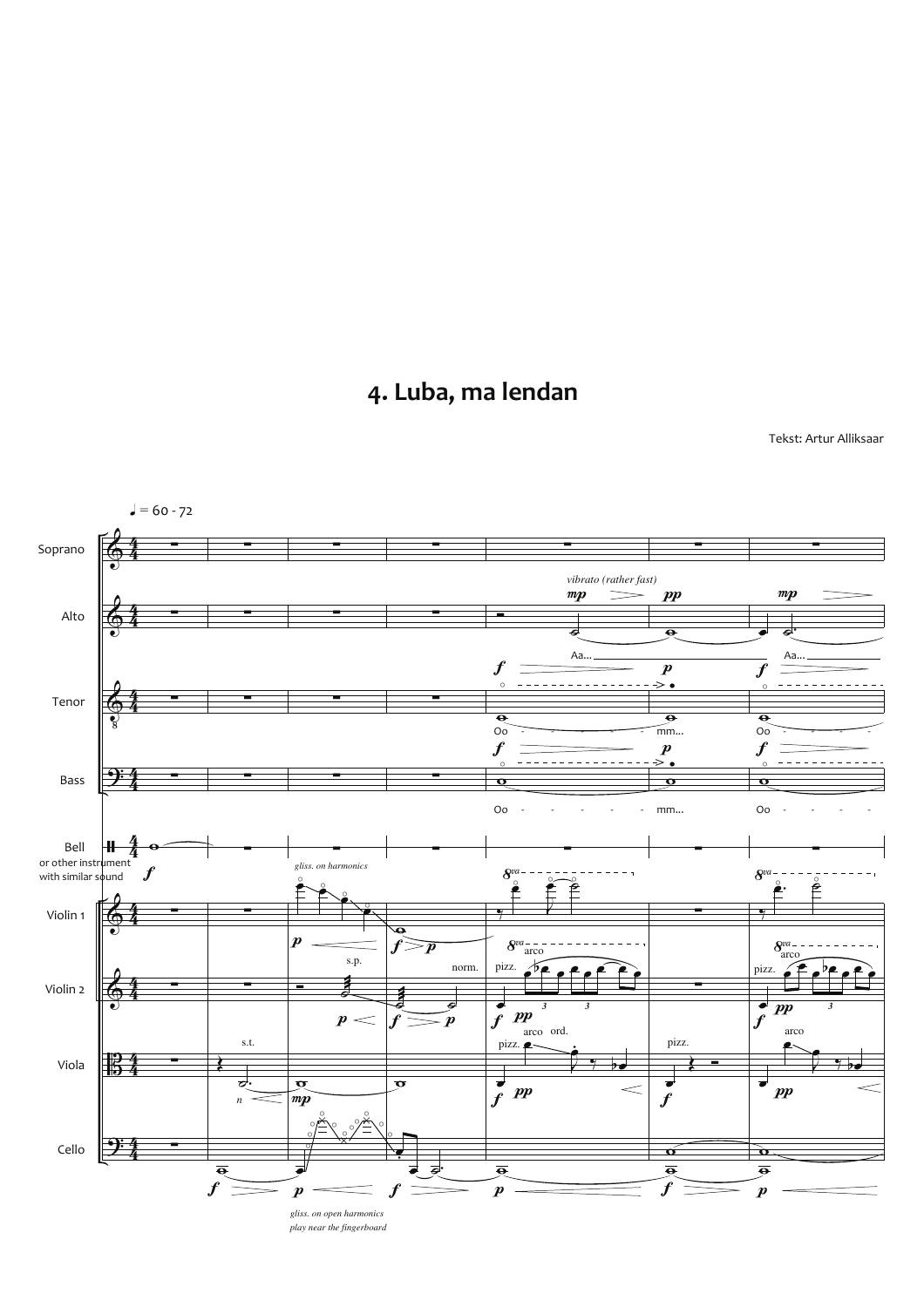## 4. Luba, ma lendan

Tekst: Artur Alliksaar



 $play$   $near$   $the$   $f{\rm in}$   $gerboard$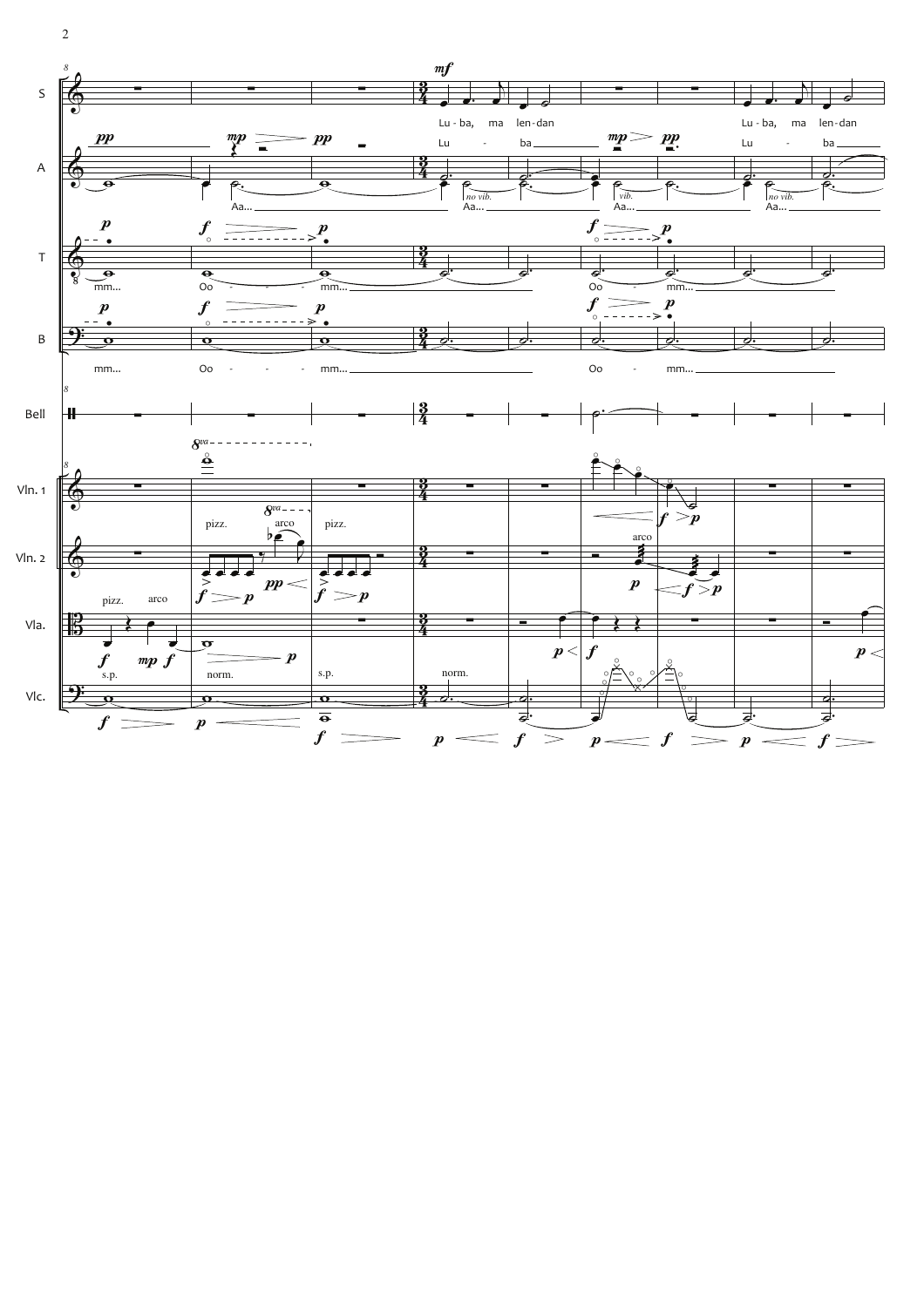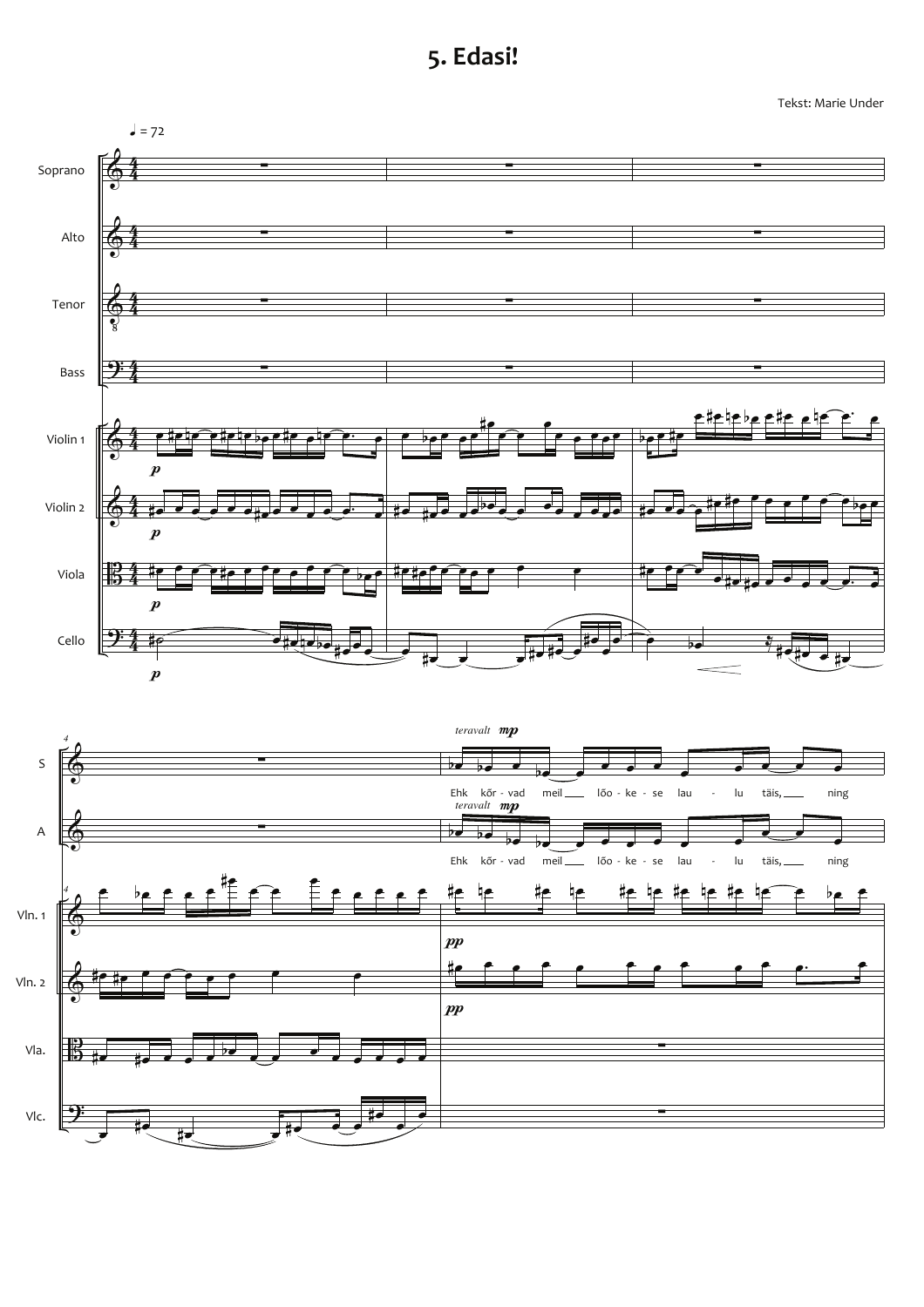5. Edasi!

Tekst: Marie Under

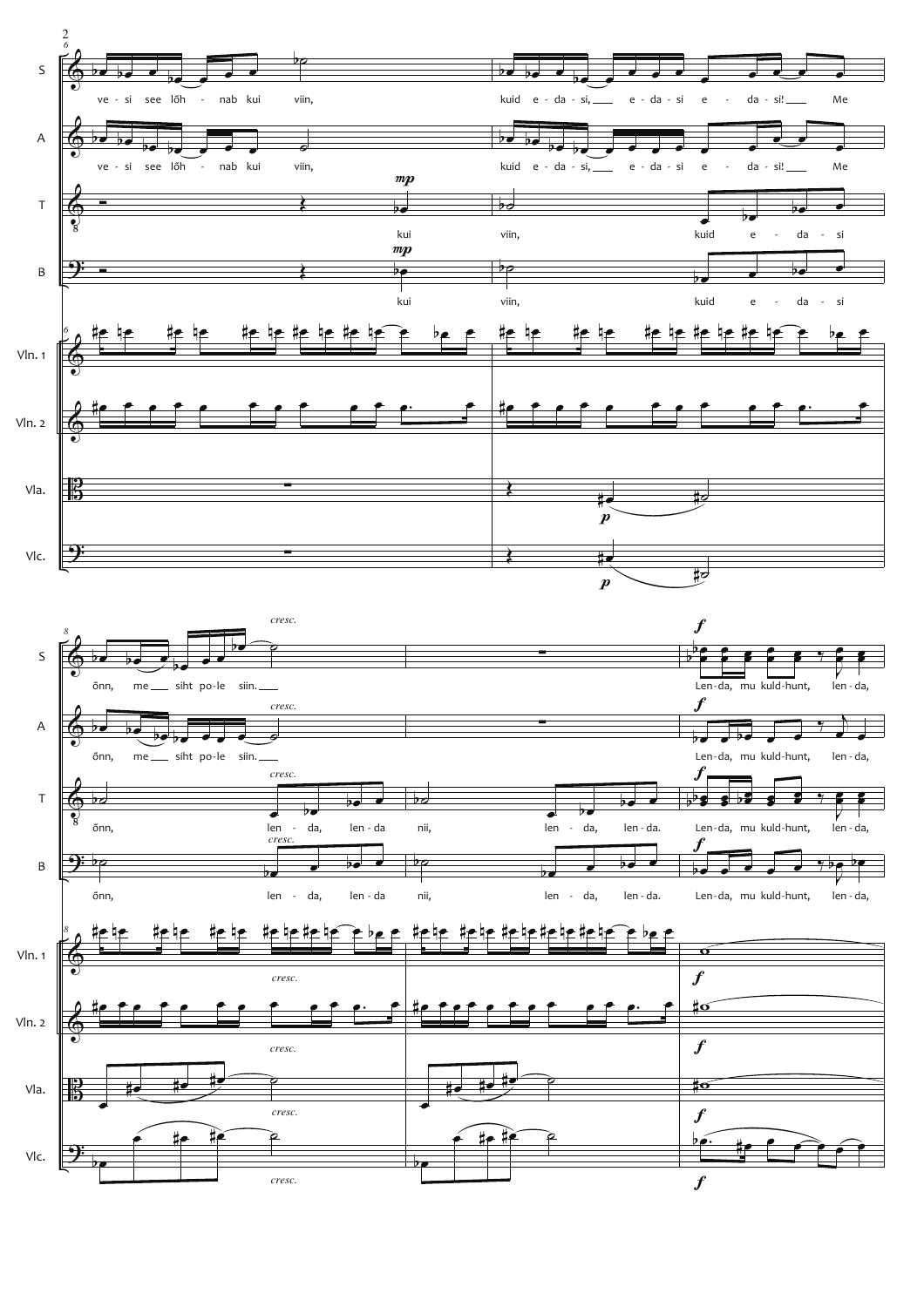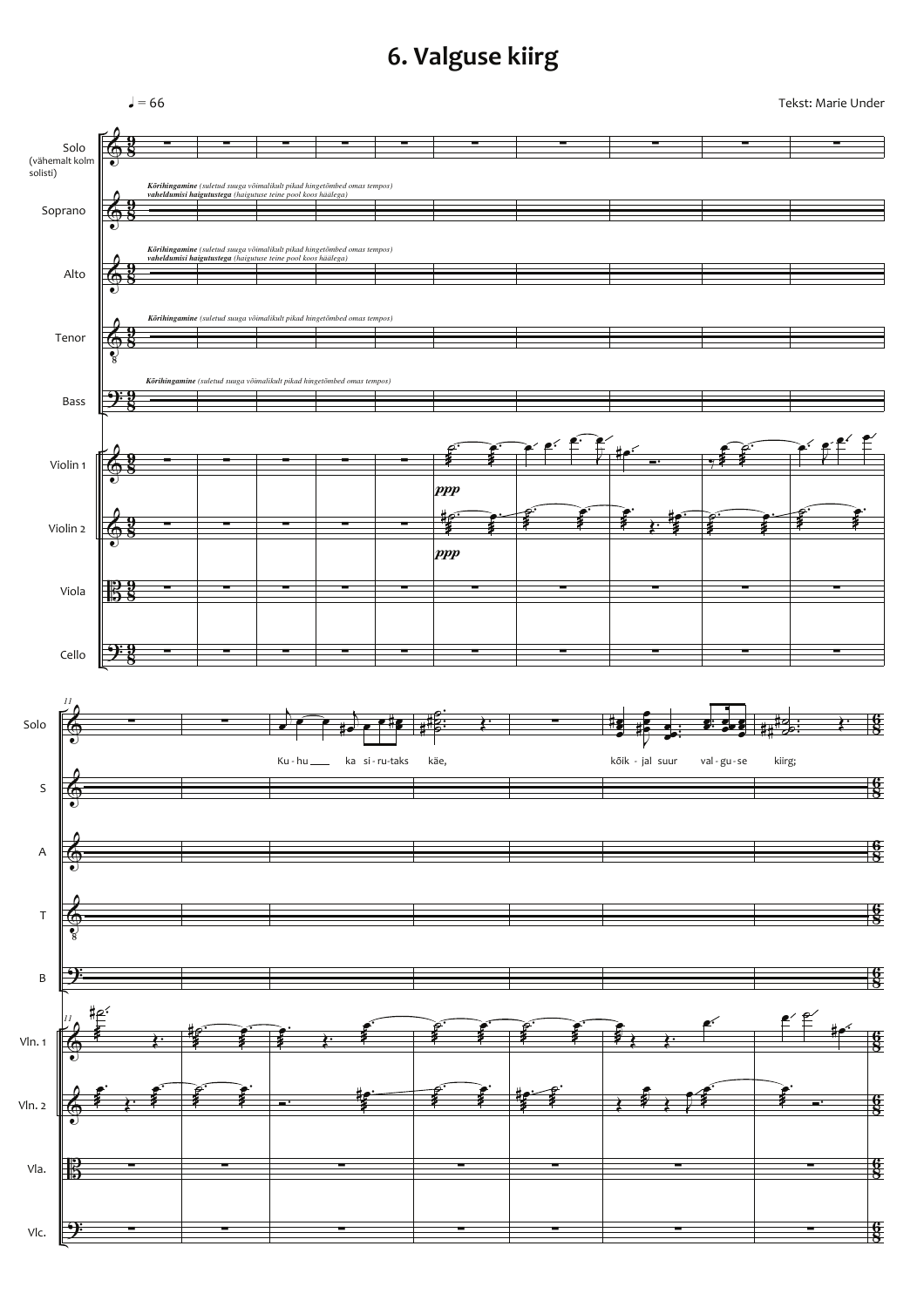## 6. Valguse kiirg